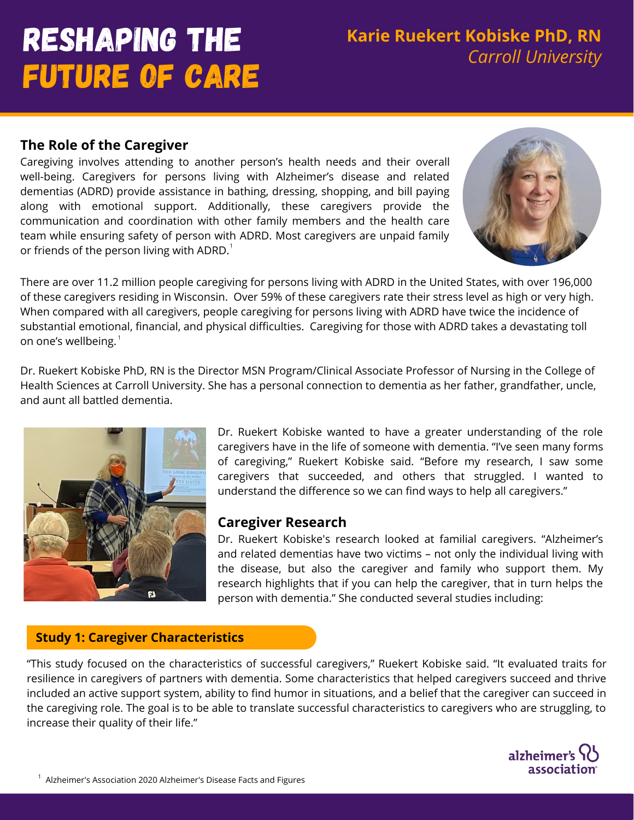# Reshaping the Future of Care

## **Karie Ruekert Kobiske PhD, RN** *Carroll University*

#### **The Role of the Caregiver**

Caregiving involves attending to another person's health needs and their overall well-being. Caregivers for persons living with Alzheimer's disease and related dementias (ADRD) provide assistance in bathing, dressing, shopping, and bill paying along with emotional support. Additionally, these caregivers provide the communication and coordination with other family members and the health care team while ensuring safety of person with ADRD. Most caregivers are unpaid family or friends of the person living with ADRD. $^{\rm 1}$ 



There are over 11.2 million people caregiving for persons living with ADRD in the United States, with over 196,000 of these caregivers residing in Wisconsin. Over 59% of these caregivers rate their stress level as high or very high. When compared with all caregivers, people caregiving for persons living with ADRD have twice the incidence of substantial emotional, financial, and physical difficulties. Caregiving for those with ADRD takes a devastating toll on one's wellbeing.  $^{\textrm{\tiny{\rm{1}}}}$ 

Dr. Ruekert Kobiske PhD, RN is the Director MSN Program/Clinical Associate Professor of Nursing in the College of Health Sciences at Carroll University. She has a personal connection to dementia as her father, grandfather, uncle, and aunt all battled dementia.



Dr. Ruekert Kobiske wanted to have a greater understanding of the role caregivers have in the life of someone with dementia. "I've seen many forms of caregiving," Ruekert Kobiske said. "Before my research, I saw some caregivers that succeeded, and others that struggled. I wanted to understand the difference so we can find ways to help all caregivers."

#### **Caregiver Research**

Dr. Ruekert Kobiske's research looked at familial caregivers. "Alzheimer's and related dementias have two victims – not only the individual living with the disease, but also the caregiver and family who support them. My research highlights that if you can help the caregiver, that in turn helps the person with dementia." She conducted several studies including:

#### **Study 1: Caregiver Characteristics**

"This study focused on the characteristics of successful caregivers," Ruekert Kobiske said. "It evaluated traits for resilience in caregivers of partners with dementia. Some characteristics that helped caregivers succeed and thrive included an active support system, ability to find humor in situations, and a belief that the caregiver can succeed in the caregiving role. The goal is to be able to translate successful characteristics to caregivers who are struggling, to increase their quality of their life."